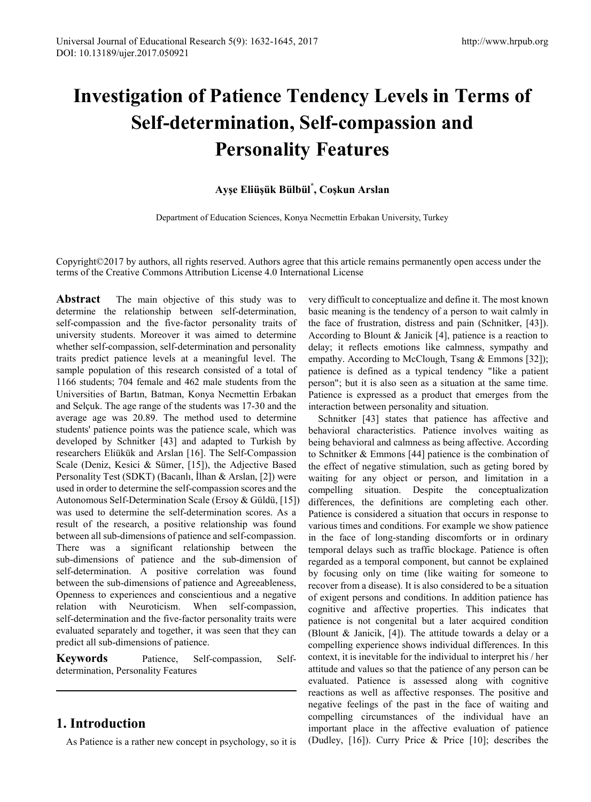# **Investigation of Patience Tendency Levels in Terms of Self-determination, Self-compassion and Personality Features**

## **Ayşe Eliüşük Bülbül\* , Coşkun Arslan**

Department of Education [Sciences, Konya Necmetti](mailto:ayseeliusuk@gmail.com)n Erbakan University, Turkey

Copyright©2017 by authors, all rights reserved. Authors agree that this article remains permanently open access under the terms of the Creative Commons Attribution License 4.0 International License

**Abstract** The main objective of this study was to determine the relationship between self-determination, self-compassion and the five-factor personality traits of university students. Moreover it was aimed to determine whether self-compassion, self-determination and personality traits predict patience levels at a meaningful level. The sample population of this research consisted of a total of 1166 students; 704 female and 462 male students from the Universities of Bartın, Batman, Konya Necmettin Erbakan and Selçuk. The age range of the students was 17-30 and the average age was 20.89. The method used to determine students' patience points was the patience scale, which was developed by Schnitker [43] and adapted to Turkish by researchers Eliükük and Arslan [16]. The Self-Compassion Scale (Deniz, Kesici & Sümer, [15]), the Adjective Based Personality Test (SDKT) (Bacanlı, İlhan & Arslan, [2]) were used in order to determine the self-compassion scores and the Autonomous Self-Determination Scale (Ersoy & Güldü, [15]) was used to determine the self-determination scores. As a result of the research, a positive relationship was found between all sub-dimensions of patience and self-compassion. There was a significant relationship between the sub-dimensions of patience and the sub-dimension of self-determination. A positive correlation was found between the sub-dimensions of patience and Agreeableness, Openness to experiences and conscientious and a negative relation with Neuroticism. When self-compassion, self-determination and the five-factor personality traits were evaluated separately and together, it was seen that they can predict all sub-dimensions of patience.

**Keywords** Patience, Self-compassion, Selfdetermination, Personality Features

## **1. Introduction**

As Patience is a rather new concept in psychology, so it is

very difficult to conceptualize and define it. The most known basic meaning is the tendency of a person to wait calmly in the face of frustration, distress and pain (Schnitker, [43]). According to Blount & Janicik [4], patience is a reaction to delay; it reflects emotions like calmness, sympathy and empathy. According to McClough, Tsang & Emmons [32]); patience is defined as a typical tendency "like a patient person"; but it is also seen as a situation at the same time. Patience is expressed as a product that emerges from the interaction between personality and situation.

Schnitker [43] states that patience has affective and behavioral characteristics. Patience involves waiting as being behavioral and calmness as being affective. According to Schnitker & Emmons [44] patience is the combination of the effect of negative stimulation, such as geting bored by waiting for any object or person, and limitation in a compelling situation. Despite the conceptualization differences, the definitions are completing each other. Patience is considered a situation that occurs in response to various times and conditions. For example we show patience in the face of long-standing discomforts or in ordinary temporal delays such as traffic blockage. Patience is often regarded as a temporal component, but cannot be explained by focusing only on time (like waiting for someone to recover from a disease). It is also considered to be a situation of exigent persons and conditions. In addition patience has cognitive and affective properties. This indicates that patience is not congenital but a later acquired condition (Blount & Janicik, [4]). The attitude towards a delay or a compelling experience shows individual differences. In this context, it is inevitable for the individual to interpret his / her attitude and values so that the patience of any person can be evaluated. Patience is assessed along with cognitive reactions as well as affective responses. The positive and negative feelings of the past in the face of waiting and compelling circumstances of the individual have an important place in the affective evaluation of patience (Dudley, [16]). Curry Price & Price [10]; describes the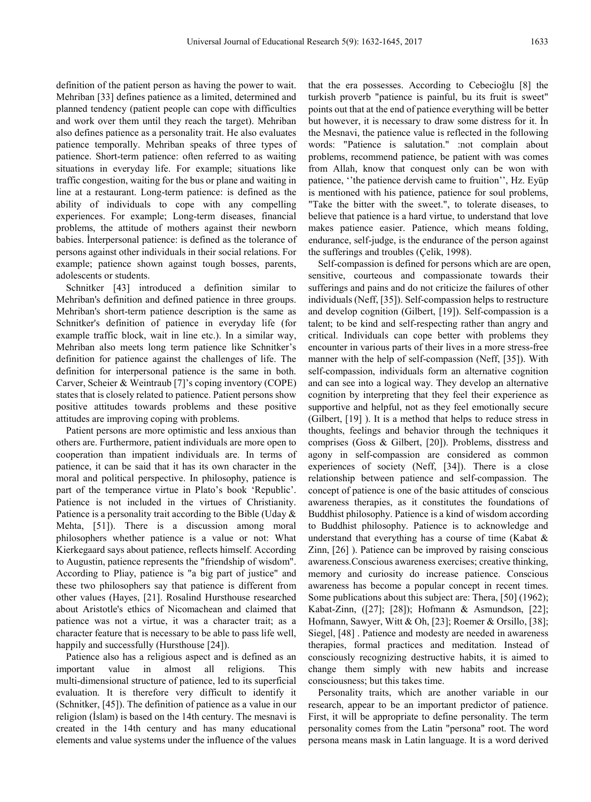definition of the patient person as having the power to wait. Mehriban [33] defines patience as a limited, determined and planned tendency (patient people can cope with difficulties and work over them until they reach the target). Mehriban also defines patience as a personality trait. He also evaluates patience temporally. Mehriban speaks of three types of patience. Short-term patience: often referred to as waiting situations in everyday life. For example; situations like traffic congestion, waiting for the bus or plane and waiting in line at a restaurant. Long-term patience: is defined as the ability of individuals to cope with any compelling experiences. For example; Long-term diseases, financial problems, the attitude of mothers against their newborn babies. İnterpersonal patience: is defined as the tolerance of persons against other individuals in their social relations. For example; patience shown against tough bosses, parents, adolescents or students.

Schnitker [43] introduced a definition similar to Mehriban's definition and defined patience in three groups. Mehriban's short-term patience description is the same as Schnitker's definition of patience in everyday life (for example traffic block, wait in line etc.). In a similar way, Mehriban also meets long term patience like Schnitker's definition for patience against the challenges of life. The definition for interpersonal patience is the same in both. Carver, Scheier & Weintraub [7]'s coping inventory (COPE) states that is closely related to patience. Patient persons show positive attitudes towards problems and these positive attitudes are improving coping with problems.

Patient persons are more optimistic and less anxious than others are. Furthermore, patient individuals are more open to cooperation than impatient individuals are. In terms of patience, it can be said that it has its own character in the moral and political perspective. In philosophy, patience is part of the temperance virtue in Plato's book 'Republic'. Patience is not included in the virtues of Christianity. Patience is a personality trait according to the Bible (Uday & Mehta, [51]). There is a discussion among moral philosophers whether patience is a value or not: What Kierkegaard says about patience, reflects himself. According to Augustin, patience represents the "friendship of wisdom". According to Pliay, patience is "a big part of justice" and these two philosophers say that patience is different from other values (Hayes, [21]. Rosalind Hursthouse researched about Aristotle's ethics of Nicomachean and claimed that patience was not a virtue, it was a character trait; as a character feature that is necessary to be able to pass life well, happily and successfully (Hursthouse [24]).

Patience also has a religious aspect and is defined as an important value in almost all religions. This multi-dimensional structure of patience, led to its superficial evaluation. It is therefore very difficult to identify it (Schnitker, [45]). The definition of patience as a value in our religion (İslam) is based on the 14th century. The mesnavi is created in the 14th century and has many educational elements and value systems under the influence of the values

that the era possesses. According to Cebecioğlu [8] the turkish proverb "patience is painful, bu its fruit is sweet" points out that at the end of patience everything will be better but however, it is necessary to draw some distress for it. İn the Mesnavi, the patience value is reflected in the following words: "Patience is salutation." :not complain about problems, recommend patience, be patient with was comes from Allah, know that conquest only can be won with patience, ''the patience dervish came to fruition'', Hz. Eyüp is mentioned with his patience, patience for soul problems, "Take the bitter with the sweet.", to tolerate diseases, to believe that patience is a hard virtue, to understand that love makes patience easier. Patience, which means folding, endurance, self-judge, is the endurance of the person against the sufferings and troubles (Çelik, 1998).

Self-compassion is defined for persons which are are open, sensitive, courteous and compassionate towards their sufferings and pains and do not criticize the failures of other individuals (Neff, [35]). Self-compassion helps to restructure and develop cognition (Gilbert, [19]). Self-compassion is a talent; to be kind and self-respecting rather than angry and critical. Individuals can cope better with problems they encounter in various parts of their lives in a more stress-free manner with the help of self-compassion (Neff, [35]). With self-compassion, individuals form an alternative cognition and can see into a logical way. They develop an alternative cognition by interpreting that they feel their experience as supportive and helpful, not as they feel emotionally secure (Gilbert, [19] ). It is a method that helps to reduce stress in thoughts, feelings and behavior through the techniques it comprises (Goss & Gilbert, [20]). Problems, disstress and agony in self-compassion are considered as common experiences of society (Neff, [34]). There is a close relationship between patience and self-compassion. The concept of patience is one of the basic attitudes of conscious awareness therapies, as it constitutes the foundations of Buddhist philosophy. Patience is a kind of wisdom according to Buddhist philosophy. Patience is to acknowledge and understand that everything has a course of time (Kabat & Zinn, [26] ). Patience can be improved by raising conscious awareness.Conscious awareness exercises; creative thinking, memory and curiosity do increase patience. Conscious awareness has become a popular concept in recent times. Some publications about this subject are: Thera, [50] (1962); Kabat-Zinn, ([27]; [28]); Hofmann & Asmundson, [22]; Hofmann, Sawyer, Witt & Oh, [23]; Roemer & Orsillo, [38]; Siegel, [48] . Patience and modesty are needed in awareness therapies, formal practices and meditation. Instead of consciously recognizing destructive habits, it is aimed to change them simply with new habits and increase consciousness; but this takes time.

Personality traits, which are another variable in our research, appear to be an important predictor of patience. First, it will be appropriate to define personality. The term personality comes from the Latin "persona" root. The word persona means mask in Latin language. It is a word derived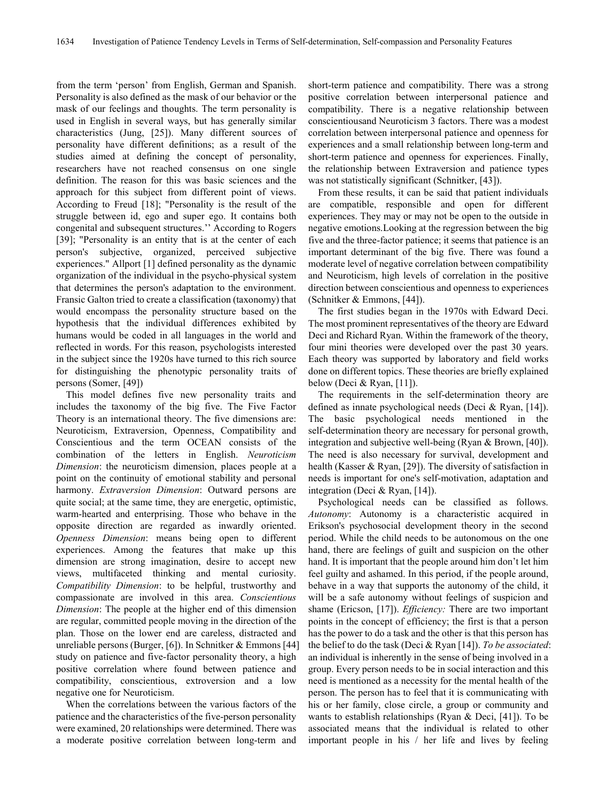from the term 'person' from English, German and Spanish. Personality is also defined as the mask of our behavior or the mask of our feelings and thoughts. The term personality is used in English in several ways, but has generally similar characteristics (Jung, [25]). Many different sources of personality have different definitions; as a result of the studies aimed at defining the concept of personality, researchers have not reached consensus on one single definition. The reason for this was basic sciences and the approach for this subject from different point of views. According to Freud [18]; "Personality is the result of the struggle between id, ego and super ego. It contains both congenital and subsequent structures.'' According to Rogers [39]; "Personality is an entity that is at the center of each person's subjective, organized, perceived subjective experiences." Allport [1] defined personality as the dynamic organization of the individual in the psycho-physical system that determines the person's adaptation to the environment. Fransic Galton tried to create a classification (taxonomy) that would encompass the personality structure based on the hypothesis that the individual differences exhibited by humans would be coded in all languages in the world and reflected in words. For this reason, psychologists interested in the subject since the 1920s have turned to this rich source for distinguishing the phenotypic personality traits of persons (Somer, [49])

This model defines five new personality traits and includes the taxonomy of the big five. The Five Factor Theory is an international theory. The five dimensions are: Neuroticism, Extraversion, Openness, Compatibility and Conscientious and the term OCEAN consists of the combination of the letters in English. *Neuroticism Dimension*: the neuroticism dimension, places people at a point on the continuity of emotional stability and personal harmony. *Extraversion Dimension*: Outward persons are quite social; at the same time, they are energetic, optimistic, warm-hearted and enterprising. Those who behave in the opposite direction are regarded as inwardly oriented. *Openness Dimension*: means being open to different experiences. Among the features that make up this dimension are strong imagination, desire to accept new views, multifaceted thinking and mental curiosity. *Compatibility Dimension*: to be helpful, trustworthy and compassionate are involved in this area. *Conscientious Dimension*: The people at the higher end of this dimension are regular, committed people moving in the direction of the plan. Those on the lower end are careless, distracted and unreliable persons (Burger, [6]). In Schnitker & Emmons [44] study on patience and five-factor personality theory, a high positive correlation where found between patience and compatibility, conscientious, extroversion and a low negative one for Neuroticism.

When the correlations between the various factors of the patience and the characteristics of the five-person personality were examined, 20 relationships were determined. There was a moderate positive correlation between long-term and

short-term patience and compatibility. There was a strong positive correlation between interpersonal patience and compatibility. There is a negative relationship between conscientiousand Neuroticism 3 factors. There was a modest correlation between interpersonal patience and openness for experiences and a small relationship between long-term and short-term patience and openness for experiences. Finally, the relationship between Extraversion and patience types was not statistically significant (Schnitker, [43]).

From these results, it can be said that patient individuals are compatible, responsible and open for different experiences. They may or may not be open to the outside in negative emotions.Looking at the regression between the big five and the three-factor patience; it seems that patience is an important determinant of the big five. There was found a moderate level of negative correlation between compatibility and Neuroticism, high levels of correlation in the positive direction between conscientious and openness to experiences (Schnitker & Emmons, [44]).

The first studies began in the 1970s with Edward Deci. The most prominent representatives of the theory are Edward Deci and Richard Ryan. Within the framework of the theory, four mini theories were developed over the past 30 years. Each theory was supported by laboratory and field works done on different topics. These theories are briefly explained below (Deci & Ryan,  $[11]$ ).

The requirements in the self-determination theory are defined as innate psychological needs (Deci & Ryan, [14]). The basic psychological needs mentioned in the self-determination theory are necessary for personal growth, integration and subjective well-being (Ryan & Brown, [40]). The need is also necessary for survival, development and health (Kasser & Ryan, [29]). The diversity of satisfaction in needs is important for one's self-motivation, adaptation and integration (Deci & Ryan, [14]).

Psychological needs can be classified as follows. *Autonomy*: Autonomy is a characteristic acquired in Erikson's psychosocial development theory in the second period. While the child needs to be autonomous on the one hand, there are feelings of guilt and suspicion on the other hand. It is important that the people around him don't let him feel guilty and ashamed. In this period, if the people around, behave in a way that supports the autonomy of the child, it will be a safe autonomy without feelings of suspicion and shame (Ericson, [17]). *Efficiency:* There are two important points in the concept of efficiency; the first is that a person has the power to do a task and the other is that this person has the belief to do the task (Deci & Ryan [14]). *To be associated*: an individual is inherently in the sense of being involved in a group. Every person needs to be in social interaction and this need is mentioned as a necessity for the mental health of the person. The person has to feel that it is communicating with his or her family, close circle, a group or community and wants to establish relationships (Ryan & Deci, [41]). To be associated means that the individual is related to other important people in his / her life and lives by feeling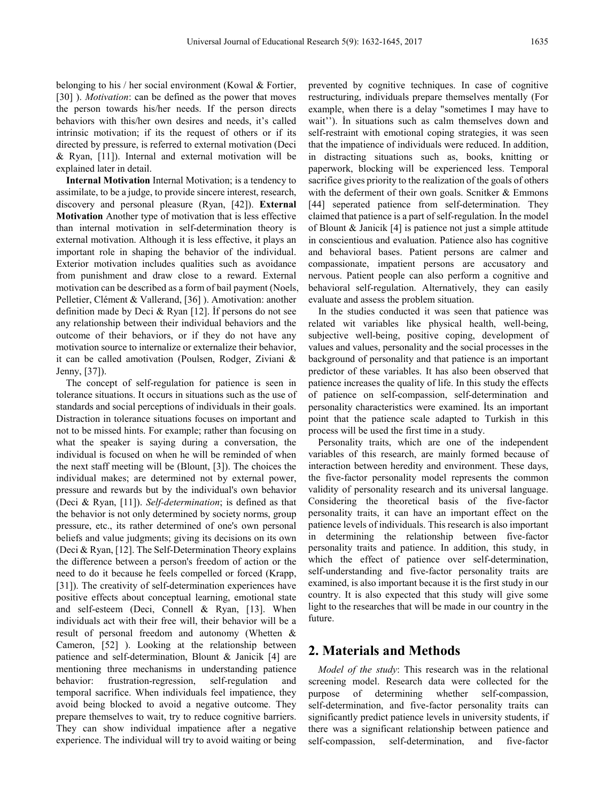belonging to his / her social environment (Kowal & Fortier, [30] ). *Motivation*: can be defined as the power that moves the person towards his/her needs. If the person directs behaviors with this/her own desires and needs, it's called intrinsic motivation; if its the request of others or if its directed by pressure, is referred to external motivation (Deci  $&$  Ryan, [11]). Internal and external motivation will be explained later in detail.

**Internal Motivation** Internal Motivation; is a tendency to assimilate, to be a judge, to provide sincere interest, research, discovery and personal pleasure (Ryan, [42]). **External Motivation** Another type of motivation that is less effective than internal motivation in self-determination theory is external motivation. Although it is less effective, it plays an important role in shaping the behavior of the individual. Exterior motivation includes qualities such as avoidance from punishment and draw close to a reward. External motivation can be described as a form of bail payment (Noels, Pelletier, Clément & Vallerand, [36] ). Amotivation: another definition made by Deci & Ryan [12]. İf persons do not see any relationship between their individual behaviors and the outcome of their behaviors, or if they do not have any motivation source to internalize or externalize their behavior, it can be called amotivation (Poulsen, Rodger, Ziviani & Jenny, [37]).

The concept of self-regulation for patience is seen in tolerance situations. It occurs in situations such as the use of standards and social perceptions of individuals in their goals. Distraction in tolerance situations focuses on important and not to be missed hints. For example; rather than focusing on what the speaker is saying during a conversation, the individual is focused on when he will be reminded of when the next staff meeting will be (Blount, [3]). The choices the individual makes; are determined not by external power, pressure and rewards but by the individual's own behavior (Deci & Ryan, [11]). *Self-determination*; is defined as that the behavior is not only determined by society norms, group pressure, etc., its rather determined of one's own personal beliefs and value judgments; giving its decisions on its own (Deci & Ryan, [12]. The Self-Determination Theory explains the difference between a person's freedom of action or the need to do it because he feels compelled or forced (Krapp, [31]). The creativity of self-determination experiences have positive effects about conceptual learning, emotional state and self-esteem (Deci, Connell & Ryan, [13]. When individuals act with their free will, their behavior will be a result of personal freedom and autonomy (Whetten & Cameron, [52] ). Looking at the relationship between patience and self-determination, Blount & Janicik [4] are mentioning three mechanisms in understanding patience behavior: frustration-regression, self-regulation and temporal sacrifice. When individuals feel impatience, they avoid being blocked to avoid a negative outcome. They prepare themselves to wait, try to reduce cognitive barriers. They can show individual impatience after a negative experience. The individual will try to avoid waiting or being prevented by cognitive techniques. In case of cognitive restructuring, individuals prepare themselves mentally (For example, when there is a delay "sometimes I may have to wait''). İn situations such as calm themselves down and self-restraint with emotional coping strategies, it was seen that the impatience of individuals were reduced. In addition, in distracting situations such as, books, knitting or paperwork, blocking will be experienced less. Temporal sacrifice gives priority to the realization of the goals of others with the deferment of their own goals. Scnitker  $\&$  Emmons [44] seperated patience from self-determination. They claimed that patience is a part of self-regulation. İn the model of Blount & Janicik [4] is patience not just a simple attitude in conscientious and evaluation. Patience also has cognitive and behavioral bases. Patient persons are calmer and compassionate, impatient persons are accusatory and nervous. Patient people can also perform a cognitive and behavioral self-regulation. Alternatively, they can easily evaluate and assess the problem situation.

In the studies conducted it was seen that patience was related wit variables like physical health, well-being, subjective well-being, positive coping, development of values and values, personality and the social processes in the background of personality and that patience is an important predictor of these variables. It has also been observed that patience increases the quality of life. In this study the effects of patience on self-compassion, self-determination and personality characteristics were examined. İts an important point that the patience scale adapted to Turkish in this process will be used the first time in a study.

Personality traits, which are one of the independent variables of this research, are mainly formed because of interaction between heredity and environment. These days, the five-factor personality model represents the common validity of personality research and its universal language. Considering the theoretical basis of the five-factor personality traits, it can have an important effect on the patience levels of individuals. This research is also important in determining the relationship between five-factor personality traits and patience. In addition, this study, in which the effect of patience over self-determination, self-understanding and five-factor personality traits are examined, is also important because it is the first study in our country. It is also expected that this study will give some light to the researches that will be made in our country in the future.

## **2. Materials and Methods**

*Model of the study*: This research was in the relational screening model. Research data were collected for the purpose of determining whether self-compassion, self-determination, and five-factor personality traits can significantly predict patience levels in university students, if there was a significant relationship between patience and self-compassion, self-determination, and five-factor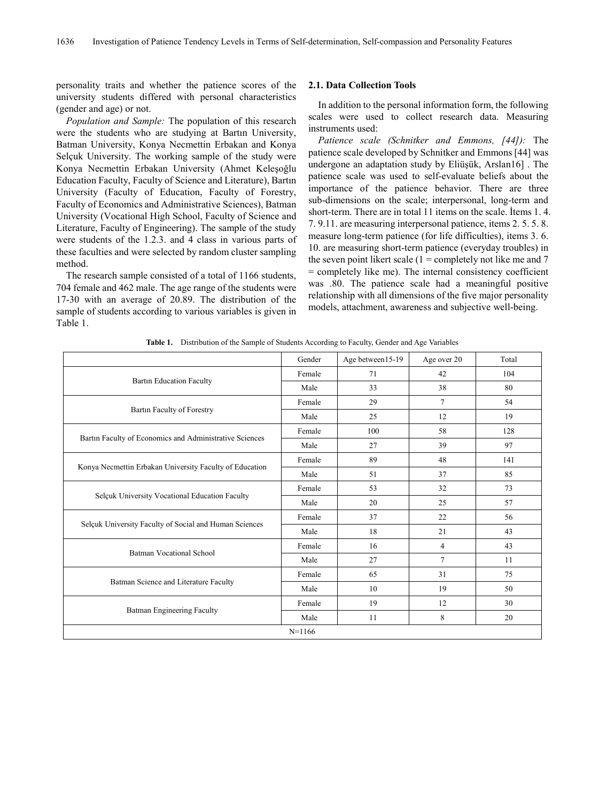personality traits and whether the patience scores of the university students differed with personal characteristics (gender and age) or not.

*Population and Sample:* The population of this research were the students who are studying at Bartın University, Batman University, Konya Necmettin Erbakan and Konya Selçuk University. The working sample of the study were Konya Necmettin Erbakan University (Ahmet Keleşoğlu Education Faculty, Faculty of Science and Literature), Bartın University (Faculty of Education, Faculty of Forestry, Faculty of Economics and Administrative Sciences), Batman University (Vocational High School, Faculty of Science and Literature, Faculty of Engineering). The sample of the study were students of the 1.2.3. and 4 class in various parts of these faculties and were selected by random cluster sampling method.

The research sample consisted of a total of 1166 students, 704 female and 462 male. The age range of the students were 17-30 with an average of 20.89. The distribution of the sample of students according to various variables is given in Table 1.

#### **2.1. Data Collection Tools**

In addition to the personal information form, the following scales were used to collect research data. Measuring instruments used:

*Patience scale (Schnitker and Emmons, [44]):* The patience scale developed by Schnitker and Emmons [44] was undergone an adaptation study by Eliüşük, Arslan16] . The patience scale was used to self-evaluate beliefs about the importance of the patience behavior. There are three sub-dimensions on the scale; interpersonal, long-term and short-term. There are in total 11 items on the scale. İtems 1. 4. 7. 9.11. are measuring interpersonal patience, items 2. 5. 5. 8. measure long-term patience (for life difficulties), items 3. 6. 10. are measuring short-term patience (everyday troubles) in the seven point likert scale  $(1 = \text{completely not like me and 7})$ = completely like me). The internal consistency coefficient was .80. The patience scale had a meaningful positive relationship with all dimensions of the five major personality models, attachment, awareness and subjective well-being.

|                                                         | Gender | Age between15-19 | Age over 20                                                                                                                                | Total |  |  |  |
|---------------------------------------------------------|--------|------------------|--------------------------------------------------------------------------------------------------------------------------------------------|-------|--|--|--|
|                                                         | Female | 71               | 42                                                                                                                                         | 104   |  |  |  |
| <b>Bartin Education Faculty</b>                         | Male   | 33               | 38                                                                                                                                         | 80    |  |  |  |
|                                                         | Female | 29               | 7                                                                                                                                          | 54    |  |  |  |
| Bartın Faculty of Forestry                              | Male   | 25               | 12                                                                                                                                         | 19    |  |  |  |
|                                                         | Female | 100              | 58                                                                                                                                         | 128   |  |  |  |
| Bartin Faculty of Economics and Administrative Sciences | Male   | 27               | 39                                                                                                                                         | 97    |  |  |  |
|                                                         | Female | 89               | 48                                                                                                                                         | 141   |  |  |  |
| Konya Necmettin Erbakan University Faculty of Education | Male   | 51               | 37<br>85<br>32<br>73<br>25<br>57<br>22<br>56<br>21<br>43<br>43<br>4<br>$\overline{7}$<br>11<br>31<br>75<br>19<br>50<br>12<br>30<br>8<br>20 |       |  |  |  |
|                                                         | Female | 53               |                                                                                                                                            |       |  |  |  |
| Selçuk University Vocational Education Faculty          | Male   | 20               |                                                                                                                                            |       |  |  |  |
|                                                         | Female | 37               |                                                                                                                                            |       |  |  |  |
| Selçuk University Faculty of Social and Human Sciences  | Male   | 18               |                                                                                                                                            |       |  |  |  |
| Batman Vocational School                                | Female | 16               |                                                                                                                                            |       |  |  |  |
|                                                         | Male   | 27               |                                                                                                                                            |       |  |  |  |
|                                                         | Female | 65               |                                                                                                                                            |       |  |  |  |
| Batman Science and Literature Faculty                   | Male   | 10               |                                                                                                                                            |       |  |  |  |
|                                                         | Female | 19               |                                                                                                                                            |       |  |  |  |
| <b>Batman Engineering Faculty</b>                       | Male   | 11               |                                                                                                                                            |       |  |  |  |
| $N=1166$                                                |        |                  |                                                                                                                                            |       |  |  |  |

**Table 1.** Distribution of the Sample of Students According to Faculty, Gender and Age Variables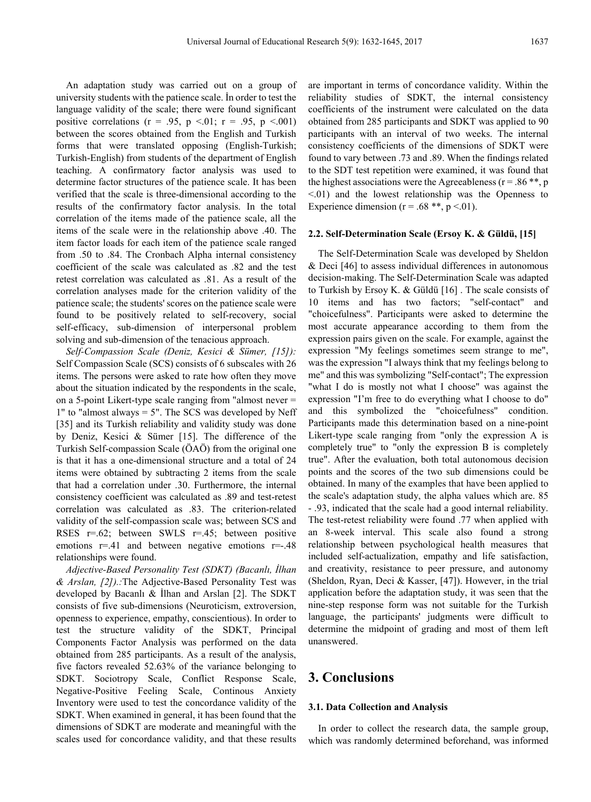An adaptation study was carried out on a group of university students with the patience scale. İn order to test the language validity of the scale; there were found significant positive correlations ( $r = .95$ ,  $p < .01$ ;  $r = .95$ ,  $p < .001$ ) between the scores obtained from the English and Turkish forms that were translated opposing (English-Turkish; Turkish-English) from students of the department of English teaching. A confirmatory factor analysis was used to determine factor structures of the patience scale. It has been verified that the scale is three-dimensional according to the results of the confirmatory factor analysis. In the total correlation of the items made of the patience scale, all the items of the scale were in the relationship above .40. The item factor loads for each item of the patience scale ranged from .50 to .84. The Cronbach Alpha internal consistency coefficient of the scale was calculated as .82 and the test retest correlation was calculated as  $81$ . As a result of the correlation analyses made for the criterion validity of the patience scale; the students' scores on the patience scale were found to be positively related to self-recovery, social self-efficacy, sub-dimension of interpersonal problem solving and sub-dimension of the tenacious approach.

*Self-Compassion Scale (Deniz, Kesici & Sümer, [15]):* Self Compassion Scale (SCS) consists of 6 subscales with 26 items. The persons were asked to rate how often they move about the situation indicated by the respondents in the scale, on a 5-point Likert-type scale ranging from "almost never = 1" to "almost always = 5". The SCS was developed by Neff [35] and its Turkish reliability and validity study was done by Deniz, Kesici & Sümer [15]. The difference of the Turkish Self-compassion Scale (ÖAÖ) from the original one is that it has a one-dimensional structure and a total of 24 items were obtained by subtracting 2 items from the scale that had a correlation under .30. Furthermore, the internal consistency coefficient was calculated as .89 and test-retest correlation was calculated as .83. The criterion-related validity of the self-compassion scale was; between SCS and RSES  $r=.62$ ; between SWLS  $r=.45$ ; between positive emotions  $r=0.41$  and between negative emotions  $r=-0.48$ relationships were found.

*Adjective-Based Personality Test (SDKT) (Bacanlı, İlhan & Arslan, [2]).:*The Adjective-Based Personality Test was developed by Bacanlı & İlhan and Arslan [2]. The SDKT consists of five sub-dimensions (Neuroticism, extroversion, openness to experience, empathy, conscientious). In order to test the structure validity of the SDKT, Principal Components Factor Analysis was performed on the data obtained from 285 participants. As a result of the analysis, five factors revealed 52.63% of the variance belonging to SDKT. Sociotropy Scale, Conflict Response Scale, Negative-Positive Feeling Scale, Continous Anxiety Inventory were used to test the concordance validity of the SDKT. When examined in general, it has been found that the dimensions of SDKT are moderate and meaningful with the scales used for concordance validity, and that these results are important in terms of concordance validity. Within the reliability studies of SDKT, the internal consistency coefficients of the instrument were calculated on the data obtained from 285 participants and SDKT was applied to 90 participants with an interval of two weeks. The internal consistency coefficients of the dimensions of SDKT were found to vary between .73 and .89. When the findings related to the SDT test repetition were examined, it was found that the highest associations were the Agreeableness ( $r = .86$ <sup>\*\*</sup>, p  $\leq$ .01) and the lowest relationship was the Openness to Experience dimension ( $r = .68$  \*\*,  $p < .01$ ).

#### **2.2. Self-Determination Scale (Ersoy K. & Güldü, [15]**

The Self-Determination Scale was developed by Sheldon & Deci [46] to assess individual differences in autonomous decision-making. The Self-Determination Scale was adapted to Turkish by Ersoy K. & Güldü [16] . The scale consists of 10 items and has two factors; "self-contact" and "choicefulness". Participants were asked to determine the most accurate appearance according to them from the expression pairs given on the scale. For example, against the expression "My feelings sometimes seem strange to me", was the expression "I always think that my feelings belong to me" and this was symbolizing "Self-contact"; The expression "what I do is mostly not what I choose" was against the expression "I'm free to do everything what I choose to do" and this symbolized the "choicefulness" condition. Participants made this determination based on a nine-point Likert-type scale ranging from "only the expression A is completely true" to "only the expression B is completely true". After the evaluation, both total autonomous decision points and the scores of the two sub dimensions could be obtained. In many of the examples that have been applied to the scale's adaptation study, the alpha values which are. 85 - .93, indicated that the scale had a good internal reliability. The test-retest reliability were found .77 when applied with an 8-week interval. This scale also found a strong relationship between psychological health measures that included self-actualization, empathy and life satisfaction, and creativity, resistance to peer pressure, and autonomy (Sheldon, Ryan, Deci & Kasser, [47]). However, in the trial application before the adaptation study, it was seen that the nine-step response form was not suitable for the Turkish language, the participants' judgments were difficult to determine the midpoint of grading and most of them left unanswered.

## **3. Conclusions**

#### **3.1. Data Collection and Analysis**

In order to collect the research data, the sample group, which was randomly determined beforehand, was informed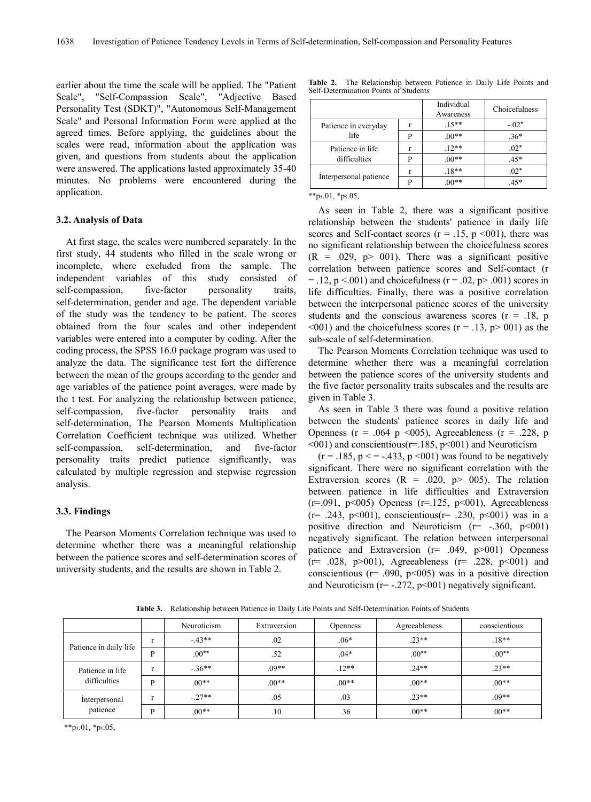earlier about the time the scale will be applied. The "Patient Scale", "Self-Compassion Scale", "Adjective Based Personality Test (SDKT)", "Autonomous Self-Management Scale" and Personal Information Form were applied at the agreed times. Before applying, the guidelines about the scales were read, information about the application was given, and questions from students about the application were answered. The applications lasted approximately 35-40 minutes. No problems were encountered during the application.

#### **3.2. Analysis of Data**

At first stage, the scales were numbered separately. In the first study, 44 students who filled in the scale wrong or incomplete, where excluded from the sample. The independent variables of this study consisted of self-compassion, five-factor personality traits, self-determination, gender and age. The dependent variable of the study was the tendency to be patient. The scores obtained from the four scales and other independent variables were entered into a computer by coding. After the coding process, the SPSS 16.0 package program was used to analyze the data. The significance test fort the difference between the mean of the groups according to the gender and age variables of the patience point averages, were made by the t test. For analyzing the relationship between patience, self-compassion, five-factor personality traits and self-determination, The Pearson Moments Multiplication Correlation Coefficient technique was utilized. Whether self-compassion, self-determination, and five-factor personality traits predict patience significantly, was calculated by multiple regression and stepwise regression analysis.

#### **3.3. Findings**

The Pearson Moments Correlation technique was used to determine whether there was a meaningful relationship between the patience scores and self-determination scores of university students, and the results are shown in Table 2.

Individual Awareness Choicefulness Patience in everyday life  $r = .15**$   $-.02*$ P  $.00**$   $.36*$ Patience in life difficulties  $r = 12**$  .02\* P .00<sup>\*\*</sup> .45<sup>\*</sup> Interpersonal patience  $\begin{array}{|c|c|c|c|c|}\n\hline\nr & .18^{**} & .02^* \\
\hline\np & .00^{**} & .45^* \\
\hline\n\end{array}$  $.00**$ 

**Table 2.** The Relationship between Patience in Daily Life Points and Self-Determination Points of Students

\*\*p‹.01, \*p‹.05,

As seen in Table 2, there was a significant positive relationship between the students' patience in daily life scores and Self-contact scores ( $r = .15$ ,  $p \le 001$ ), there was no significant relationship between the choicefulness scores  $(R = .029, p > .001)$ . There was a significant positive correlation between patience scores and Self-contact (r  $=$  .12, p <.001) and choicefulness (r = .02, p > .001) scores in life difficulties. Finally, there was a positive correlation between the interpersonal patience scores of the university students and the conscious awareness scores  $(r = .18, p$  $\leq 001$ ) and the choicefulness scores (r = .13, p > 001) as the sub-scale of self-determination.

The Pearson Moments Correlation technique was used to determine whether there was a meaningful correlation between the patience scores of the university students and the five factor personality traits subscales and the results are given in Table 3.

As seen in Table 3 there was found a positive relation between the students' patience scores in daily life and Openness (r = .064 p <005), Agreeableness (r = .228, p  $\leq 001$ ) and conscientious(r=.185, p $\leq 001$ ) and Neuroticism

 $(r = .185, p \leq -0.433, p \leq 0.01)$  was found to be negatively significant. There were no significant correlation with the Extraversion scores  $(R = .020, p > .005)$ . The relation between patience in life difficulties and Extraversion  $(r=.091, p<005)$  Openess  $(r=.125, p<001)$ , Agreeableness  $(r= .243, p<001)$ , conscientious $(r= .230, p<001)$  was in a positive direction and Neuroticism  $(r=-.360, p<001)$ negatively significant. The relation between interpersonal patience and Extraversion (r= .049, p>001) Openness  $(r= .028, p>001)$ , Agreeableness  $(r= .228, p<001)$  and conscientious ( $r = .090$ ,  $p < 005$ ) was in a positive direction and Neuroticism ( $r = -0.272$ ,  $p < 001$ ) negatively significant.

|                                  |   | Neuroticism | Extraversion | <b>Openness</b> | Agreeableness | conscientious |
|----------------------------------|---|-------------|--------------|-----------------|---------------|---------------|
| Patience in daily life           |   | $-43**$     | .02          | $.06*$          | $.23**$       | $.18**$       |
|                                  | D | $.00**$     | .52          | $.04*$          | $.00**$       | $.00**$       |
| Patience in life<br>difficulties |   | $-36**$     | $.09**$      | $12**$          | $.24**$       | $.23**$       |
|                                  | D | $.00**$     | $.00**$      | $.00**$         | $.00**$       | $.00**$       |
| Interpersonal                    |   | $-27**$     | .05          | .03             | $.23**$       | $.09**$       |
| patience                         | D | $00**$      | .10          | .36             | $.00**$       | $.00**$       |

**Table 3.** Relationship between Patience in Daily Life Points and Self-Determination Points of Students

 $*_{p<.01,*p<.05}$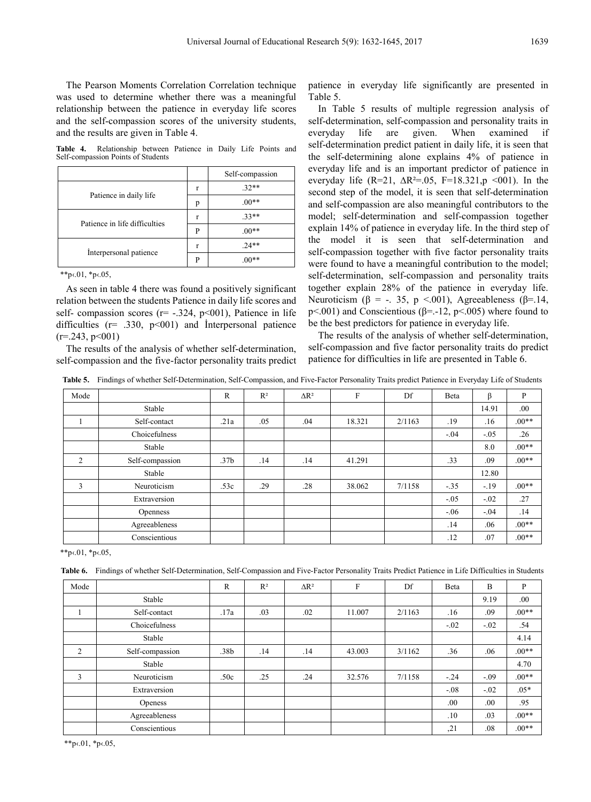The Pearson Moments Correlation Correlation technique was used to determine whether there was a meaningful relationship between the patience in everyday life scores and the self-compassion scores of the university students, and the results are given in Table 4.

**Table 4.** Relationship between Patience in Daily Life Points and Self-compassion Points of Students

|                               |   | Self-compassion |
|-------------------------------|---|-----------------|
|                               | r | $.32**$         |
| Patience in daily life        | p | $.00**$         |
|                               | r | $33**$          |
| Patience in life difficulties | P | $.00**$         |
| Interpersonal patience        | r | $.24**$         |
|                               | D |                 |

\*\*p $\cdot$ .01, \*p $\cdot$ .05,

As seen in table 4 there was found a positively significant relation between the students Patience in daily life scores and self- compassion scores ( $r = -0.324$ ,  $p < 001$ ), Patience in life difficulties ( $r = .330$ ,  $p < 001$ ) and Interpersonal patience  $(r=.243, p<001)$ 

The results of the analysis of whether self-determination, self-compassion and the five-factor personality traits predict patience in everyday life significantly are presented in Table 5.

In Table 5 results of multiple regression analysis of self-determination, self-compassion and personality traits in everyday life are given. When examined if self-determination predict patient in daily life, it is seen that the self-determining alone explains 4% of patience in everyday life and is an important predictor of patience in everyday life (R=21,  $\Delta R^2 = 0.05$ , F=18.321, p <001). In the second step of the model, it is seen that self-determination and self-compassion are also meaningful contributors to the model; self-determination and self-compassion together explain 14% of patience in everyday life. In the third step of the model it is seen that self-determination and self-compassion together with five factor personality traits were found to have a meaningful contribution to the model; self-determination, self-compassion and personality traits together explain 28% of the patience in everyday life. Neuroticism (β = -. 35, p <.001), Agreeableness (β=.14, p<.001) and Conscientious ( $β = -12$ ,  $p < .005$ ) where found to be the best predictors for patience in everyday life.

The results of the analysis of whether self-determination, self-compassion and five factor personality traits do predict patience for difficulties in life are presented in Table 6.

**Table 5.** Findings of whether Self-Determination, Self-Compassion, and Five-Factor Personality Traits predict Patience in Everyday Life of Students

| Mode |                 | R                | $R^2$ | $\Delta$ R <sup>2</sup> | F      | Df     | Beta   | β      | P       |
|------|-----------------|------------------|-------|-------------------------|--------|--------|--------|--------|---------|
|      | Stable          |                  |       |                         |        |        |        | 14.91  | .00.    |
|      | Self-contact    | .21a             | .05   | .04                     | 18.321 | 2/1163 | .19    | .16    | $.00**$ |
|      | Choicefulness   |                  |       |                         |        |        | $-.04$ | $-.05$ | .26     |
|      | Stable          |                  |       |                         |        |        |        | 8.0    | $.00**$ |
| 2    | Self-compassion | .37 <sub>b</sub> | .14   | .14                     | 41.291 |        | .33    | .09    | $.00**$ |
|      | Stable          |                  |       |                         |        |        |        | 12.80  |         |
| 3    | Neuroticism     | .53c             | .29   | .28                     | 38.062 | 7/1158 | $-.35$ | $-.19$ | $.00**$ |
|      | Extraversion    |                  |       |                         |        |        | $-.05$ | $-.02$ | .27     |
|      | <b>Openness</b> |                  |       |                         |        |        | $-.06$ | $-.04$ | .14     |
|      | Agreeableness   |                  |       |                         |        |        | .14    | .06    | $.00**$ |
|      | Conscientious   |                  |       |                         |        |        | .12    | .07    | $.00**$ |

\*\*p‹.01, \*p‹.05,

**Table 6.** Findings of whether Self-Determination, Self-Compassion and Five-Factor Personality Traits Predict Patience in Life Difficulties in Students

| Mode |                 | $\mathbb{R}$ | $R^2$ | $\Delta$ R <sup>2</sup> | F      | Df     | Beta    | B      | P       |
|------|-----------------|--------------|-------|-------------------------|--------|--------|---------|--------|---------|
|      | Stable          |              |       |                         |        |        |         | 9.19   | .00.    |
|      | Self-contact    | .17a         | .03   | .02                     | 11.007 | 2/1163 | .16     | .09    | $.00**$ |
|      | Choicefulness   |              |       |                         |        |        | $-.02$  | $-.02$ | .54     |
|      | Stable          |              |       |                         |        |        |         |        | 4.14    |
| 2    | Self-compassion | .38b         | .14   | .14                     | 43.003 | 3/1162 | .36     | .06    | $.00**$ |
|      | Stable          |              |       |                         |        |        |         |        | 4.70    |
| 3    | Neuroticism     | .50c         | .25   | .24                     | 32.576 | 7/1158 | $-.24$  | $-.09$ | $.00**$ |
|      | Extraversion    |              |       |                         |        |        | $-0.08$ | $-.02$ | $.05*$  |
|      | Openess         |              |       |                         |        |        | .00.    | .00.   | .95     |
|      | Agreeableness   |              |       |                         |        |        | .10     | .03    | $.00**$ |
|      | Conscientious   |              |       |                         |        |        | , 21    | .08    | $.00**$ |

\*\*p‹.01, \*p‹.05,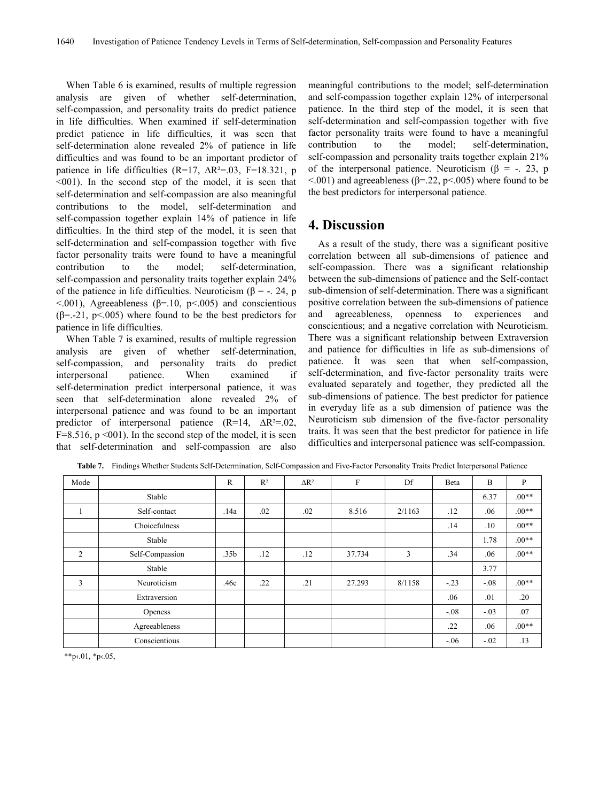When Table 6 is examined, results of multiple regression analysis are given of whether self-determination, self-compassion, and personality traits do predict patience in life difficulties. When examined if self-determination predict patience in life difficulties, it was seen that self-determination alone revealed 2% of patience in life difficulties and was found to be an important predictor of patience in life difficulties (R=17,  $\Delta$ R<sup>2</sup>=.03, F=18.321, p  $\leq 001$ ). In the second step of the model, it is seen that self-determination and self-compassion are also meaningful contributions to the model, self-determination and self-compassion together explain 14% of patience in life difficulties. In the third step of the model, it is seen that self-determination and self-compassion together with five factor personality traits were found to have a meaningful contribution to the model; self-determination, self-compassion and personality traits together explain 24% of the patience in life difficulties. Neuroticism ( $\beta$  = -. 24, p  $\leq$ .001), Agreeableness ( $\beta$ =.10, p $\leq$ .005) and conscientious  $(\beta = -21, p < 0.005)$  where found to be the best predictors for patience in life difficulties.

When Table 7 is examined, results of multiple regression analysis are given of whether self-determination, self-compassion, and personality traits do predict interpersonal patience. When examined if self-determination predict interpersonal patience, it was seen that self-determination alone revealed 2% of interpersonal patience and was found to be an important predictor of interpersonal patience (R=14, ∆R²=.02,  $F=8.516$ ,  $p \le 001$ ). In the second step of the model, it is seen that self-determination and self-compassion are also

meaningful contributions to the model; self-determination and self-compassion together explain 12% of interpersonal patience. In the third step of the model, it is seen that self-determination and self-compassion together with five factor personality traits were found to have a meaningful contribution to the model; self-determination, self-compassion and personality traits together explain 21% of the interpersonal patience. Neuroticism ( $\beta$  = -. 23, p  $\leq$ .001) and agreeableness ( $\beta$ =.22, p $\leq$ .005) where found to be the best predictors for interpersonal patience.

## **4. Discussion**

As a result of the study, there was a significant positive correlation between all sub-dimensions of patience and self-compassion. There was a significant relationship between the sub-dimensions of patience and the Self-contact sub-dimension of self-determination. There was a significant positive correlation between the sub-dimensions of patience and agreeableness, openness to experiences and conscientious; and a negative correlation with Neuroticism. There was a significant relationship between Extraversion and patience for difficulties in life as sub-dimensions of patience. İt was seen that when self-compassion, self-determination, and five-factor personality traits were evaluated separately and together, they predicted all the sub-dimensions of patience. The best predictor for patience in everyday life as a sub dimension of patience was the Neuroticism sub dimension of the five-factor personality traits. İt was seen that the best predictor for patience in life difficulties and interpersonal patience was self-compassion.

| Mode |                 | R                | $R^2$ | $\Delta$ R <sup>2</sup> | F      | Df     | Beta   | B      | P       |
|------|-----------------|------------------|-------|-------------------------|--------|--------|--------|--------|---------|
|      | Stable          |                  |       |                         |        |        |        | 6.37   | $.00**$ |
|      | Self-contact    | .14a             | .02   | .02                     | 8.516  | 2/1163 | .12    | .06    | $.00**$ |
|      | Choicefulness   |                  |       |                         |        |        | .14    | .10    | $.00**$ |
|      | Stable          |                  |       |                         |        |        |        | 1.78   | $.00**$ |
| 2    | Self-Compassion | .35 <sub>b</sub> | .12   | .12                     | 37.734 | 3      | .34    | .06    | $.00**$ |
|      | Stable          |                  |       |                         |        |        |        | 3.77   |         |
| 3    | Neuroticism     | .46c             | .22   | .21                     | 27.293 | 8/1158 | $-.23$ | $-.08$ | $.00**$ |
|      | Extraversion    |                  |       |                         |        |        | .06    | .01    | .20     |
|      | Openess         |                  |       |                         |        |        | $-.08$ | $-.03$ | .07     |
|      | Agreeableness   |                  |       |                         |        |        | .22    | .06    | $.00**$ |
|      | Conscientious   |                  |       |                         |        |        | $-.06$ | $-.02$ | .13     |

**Table 7.** Findings Whether Students Self-Determination, Self-Compassion and Five-Factor Personality Traits Predict İnterpersonal Patience

\*\*p‹.01, \*p‹.05,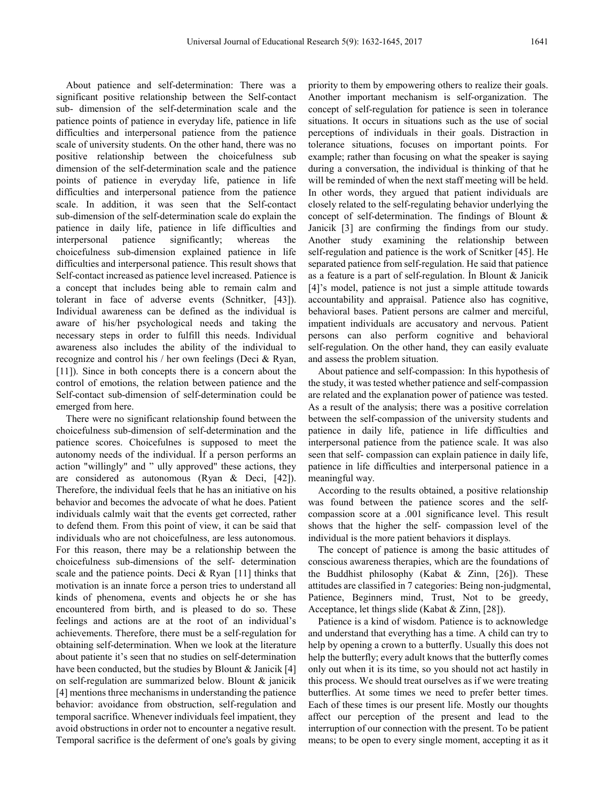About patience and self-determination: There was a significant positive relationship between the Self-contact sub- dimension of the self-determination scale and the patience points of patience in everyday life, patience in life difficulties and interpersonal patience from the patience scale of university students. On the other hand, there was no positive relationship between the choicefulness sub dimension of the self-determination scale and the patience points of patience in everyday life, patience in life difficulties and interpersonal patience from the patience scale. In addition, it was seen that the Self-contact sub-dimension of the self-determination scale do explain the patience in daily life, patience in life difficulties and interpersonal patience significantly; whereas the choicefulness sub-dimension explained patience in life difficulties and interpersonal patience. This result shows that Self-contact increased as patience level increased. Patience is a concept that includes being able to remain calm and tolerant in face of adverse events (Schnitker, [43]). Individual awareness can be defined as the individual is aware of his/her psychological needs and taking the necessary steps in order to fulfill this needs. Individual awareness also includes the ability of the individual to recognize and control his / her own feelings (Deci & Ryan, [11]). Since in both concepts there is a concern about the control of emotions, the relation between patience and the Self-contact sub-dimension of self-determination could be emerged from here.

There were no significant relationship found between the choicefulness sub-dimension of self-determination and the patience scores. Choicefulnes is supposed to meet the autonomy needs of the individual. İf a person performs an action "willingly" and " ully approved" these actions, they are considered as autonomous (Ryan & Deci, [42]). Therefore, the individual feels that he has an initiative on his behavior and becomes the advocate of what he does. Patient individuals calmly wait that the events get corrected, rather to defend them. From this point of view, it can be said that individuals who are not choicefulness, are less autonomous. For this reason, there may be a relationship between the choicefulness sub-dimensions of the self- determination scale and the patience points. Deci  $\&$  Ryan [11] thinks that motivation is an innate force a person tries to understand all kinds of phenomena, events and objects he or she has encountered from birth, and is pleased to do so. These feelings and actions are at the root of an individual's achievements. Therefore, there must be a self-regulation for obtaining self-determination. When we look at the literature about patiente it's seen that no studies on self-determination have been conducted, but the studies by Blount & Janicik [4] on self-regulation are summarized below. Blount & janicik [4] mentions three mechanisms in understanding the patience behavior: avoidance from obstruction, self-regulation and temporal sacrifice. Whenever individuals feel impatient, they avoid obstructions in order not to encounter a negative result. Temporal sacrifice is the deferment of one's goals by giving

priority to them by empowering others to realize their goals. Another important mechanism is self-organization. The concept of self-regulation for patience is seen in tolerance situations. It occurs in situations such as the use of social perceptions of individuals in their goals. Distraction in tolerance situations, focuses on important points. For example; rather than focusing on what the speaker is saying during a conversation, the individual is thinking of that he will be reminded of when the next staff meeting will be held. In other words, they argued that patient individuals are closely related to the self-regulating behavior underlying the concept of self-determination. The findings of Blount & Janicik [3] are confirming the findings from our study. Another study examining the relationship between self-regulation and patience is the work of Scnitker [45]. He separated patience from self-regulation. He said that patience as a feature is a part of self-regulation. İn Blount & Janicik [4]'s model, patience is not just a simple attitude towards accountability and appraisal. Patience also has cognitive, behavioral bases. Patient persons are calmer and merciful, impatient individuals are accusatory and nervous. Patient persons can also perform cognitive and behavioral self-regulation. On the other hand, they can easily evaluate and assess the problem situation.

About patience and self-compassion: In this hypothesis of the study, it was tested whether patience and self-compassion are related and the explanation power of patience was tested. As a result of the analysis; there was a positive correlation between the self-compassion of the university students and patience in daily life, patience in life difficulties and interpersonal patience from the patience scale. It was also seen that self- compassion can explain patience in daily life, patience in life difficulties and interpersonal patience in a meaningful way.

According to the results obtained, a positive relationship was found between the patience scores and the selfcompassion score at a .001 significance level. This result shows that the higher the self- compassion level of the individual is the more patient behaviors it displays.

The concept of patience is among the basic attitudes of conscious awareness therapies, which are the foundations of the Buddhist philosophy (Kabat  $\&$  Zinn, [26]). These attitudes are classified in 7 categories: Being non-judgmental, Patience, Beginners mind, Trust, Not to be greedy, Acceptance, let things slide (Kabat & Zinn, [28]).

Patience is a kind of wisdom. Patience is to acknowledge and understand that everything has a time. A child can try to help by opening a crown to a butterfly. Usually this does not help the butterfly; every adult knows that the butterfly comes only out when it is its time, so you should not act hastily in this process. We should treat ourselves as if we were treating butterflies. At some times we need to prefer better times. Each of these times is our present life. Mostly our thoughts affect our perception of the present and lead to the interruption of our connection with the present. To be patient means; to be open to every single moment, accepting it as it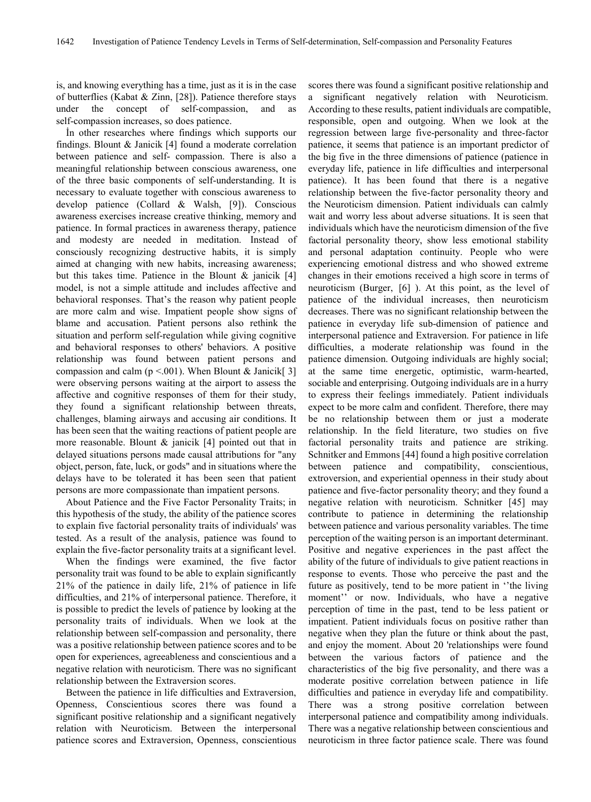is, and knowing everything has a time, just as it is in the case of butterflies (Kabat & Zinn, [28]). Patience therefore stays under the concept of self-compassion, and self-compassion increases, so does patience.

İn other researches where findings which supports our findings. Blount & Janicik [4] found a moderate correlation between patience and self- compassion. There is also a meaningful relationship between conscious awareness, one of the three basic components of self-understanding. It is necessary to evaluate together with conscious awareness to develop patience (Collard & Walsh, [9]). Conscious awareness exercises increase creative thinking, memory and patience. In formal practices in awareness therapy, patience and modesty are needed in meditation. Instead of consciously recognizing destructive habits, it is simply aimed at changing with new habits, increasing awareness; but this takes time. Patience in the Blount  $\&$  janicik [4] model, is not a simple attitude and includes affective and behavioral responses. That's the reason why patient people are more calm and wise. Impatient people show signs of blame and accusation. Patient persons also rethink the situation and perform self-regulation while giving cognitive and behavioral responses to others' behaviors. A positive relationship was found between patient persons and compassion and calm ( $p \le 0.001$ ). When Blount & Janicik<sup>[3]</sup> were observing persons waiting at the airport to assess the affective and cognitive responses of them for their study, they found a significant relationship between threats, challenges, blaming airways and accusing air conditions. It has been seen that the waiting reactions of patient people are more reasonable. Blount  $\&$  janicik [4] pointed out that in delayed situations persons made causal attributions for "any object, person, fate, luck, or gods" and in situations where the delays have to be tolerated it has been seen that patient persons are more compassionate than impatient persons.

About Patience and the Five Factor Personality Traits; in this hypothesis of the study, the ability of the patience scores to explain five factorial personality traits of individuals' was tested. As a result of the analysis, patience was found to explain the five-factor personality traits at a significant level.

When the findings were examined, the five factor personality trait was found to be able to explain significantly 21% of the patience in daily life, 21% of patience in life difficulties, and 21% of interpersonal patience. Therefore, it is possible to predict the levels of patience by looking at the personality traits of individuals. When we look at the relationship between self-compassion and personality, there was a positive relationship between patience scores and to be open for experiences, agreeableness and conscientious and a negative relation with neuroticism. There was no significant relationship between the Extraversion scores.

Between the patience in life difficulties and Extraversion, Openness, Conscientious scores there was found a significant positive relationship and a significant negatively relation with Neuroticism. Between the interpersonal patience scores and Extraversion, Openness, conscientious scores there was found a significant positive relationship and a significant negatively relation with Neuroticism. According to these results, patient individuals are compatible, responsible, open and outgoing. When we look at the regression between large five-personality and three-factor patience, it seems that patience is an important predictor of the big five in the three dimensions of patience (patience in everyday life, patience in life difficulties and interpersonal patience). It has been found that there is a negative relationship between the five-factor personality theory and the Neuroticism dimension. Patient individuals can calmly wait and worry less about adverse situations. It is seen that individuals which have the neuroticism dimension of the five factorial personality theory, show less emotional stability and personal adaptation continuity. People who were experiencing emotional distress and who showed extreme changes in their emotions received a high score in terms of neuroticism (Burger, [6] ). At this point, as the level of patience of the individual increases, then neuroticism decreases. There was no significant relationship between the patience in everyday life sub-dimension of patience and interpersonal patience and Extraversion. For patience in life difficulties, a moderate relationship was found in the patience dimension. Outgoing individuals are highly social; at the same time energetic, optimistic, warm-hearted, sociable and enterprising. Outgoing individuals are in a hurry to express their feelings immediately. Patient individuals expect to be more calm and confident. Therefore, there may be no relationship between them or just a moderate relationship. In the field literature, two studies on five factorial personality traits and patience are striking. Schnitker and Emmons [44] found a high positive correlation between patience and compatibility, conscientious, extroversion, and experiential openness in their study about patience and five-factor personality theory; and they found a negative relation with neuroticism. Schnitker [45] may contribute to patience in determining the relationship between patience and various personality variables. The time perception of the waiting person is an important determinant. Positive and negative experiences in the past affect the ability of the future of individuals to give patient reactions in response to events. Those who perceive the past and the future as positively, tend to be more patient in ''the living moment'' or now. Individuals, who have a negative perception of time in the past, tend to be less patient or impatient. Patient individuals focus on positive rather than negative when they plan the future or think about the past, and enjoy the moment. About 20 'relationships were found between the various factors of patience and the characteristics of the big five personality, and there was a moderate positive correlation between patience in life difficulties and patience in everyday life and compatibility. There was a strong positive correlation between interpersonal patience and compatibility among individuals. There was a negative relationship between conscientious and neuroticism in three factor patience scale. There was found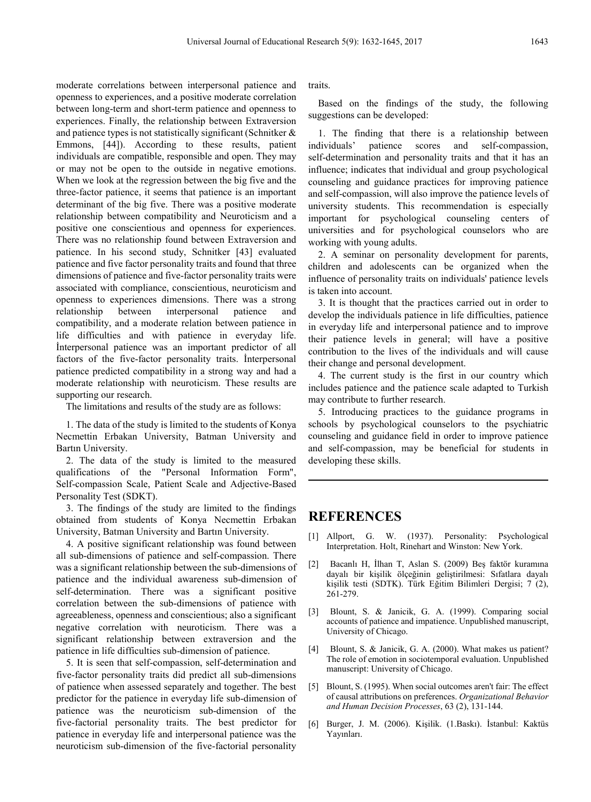moderate correlations between interpersonal patience and openness to experiences, and a positive moderate correlation between long-term and short-term patience and openness to experiences. Finally, the relationship between Extraversion and patience types is not statistically significant (Schnitker & Emmons, [44]). According to these results, patient individuals are compatible, responsible and open. They may or may not be open to the outside in negative emotions. When we look at the regression between the big five and the three-factor patience, it seems that patience is an important determinant of the big five. There was a positive moderate relationship between compatibility and Neuroticism and a positive one conscientious and openness for experiences. There was no relationship found between Extraversion and patience. In his second study, Schnitker [43] evaluated patience and five factor personality traits and found that three dimensions of patience and five-factor personality traits were associated with compliance, conscientious, neuroticism and openness to experiences dimensions. There was a strong relationship between interpersonal patience and compatibility, and a moderate relation between patience in life difficulties and with patience in everyday life. İnterpersonal patience was an important predictor of all factors of the five-factor personality traits. İnterpersonal patience predicted compatibility in a strong way and had a moderate relationship with neuroticism. These results are supporting our research.

The limitations and results of the study are as follows:

1. The data of the study is limited to the students of Konya Necmettin Erbakan University, Batman University and Bartın University.

2. The data of the study is limited to the measured qualifications of the "Personal Information Form", Self-compassion Scale, Patient Scale and Adjective-Based Personality Test (SDKT).

3. The findings of the study are limited to the findings obtained from students of Konya Necmettin Erbakan University, Batman University and Bartın University.

4. A positive significant relationship was found between all sub-dimensions of patience and self-compassion. There was a significant relationship between the sub-dimensions of patience and the individual awareness sub-dimension of self-determination. There was a significant positive correlation between the sub-dimensions of patience with agreeableness, openness and conscientious; also a significant negative correlation with neuroticism. There was a significant relationship between extraversion and the patience in life difficulties sub-dimension of patience.

5. It is seen that self-compassion, self-determination and five-factor personality traits did predict all sub-dimensions of patience when assessed separately and together. The best predictor for the patience in everyday life sub-dimension of patience was the neuroticism sub-dimension of the five-factorial personality traits. The best predictor for patience in everyday life and interpersonal patience was the neuroticism sub-dimension of the five-factorial personality

traits.

Based on the findings of the study, the following suggestions can be developed:

1. The finding that there is a relationship between individuals' patience scores and self-compassion, self-determination and personality traits and that it has an influence; indicates that individual and group psychological counseling and guidance practices for improving patience and self-compassion, will also improve the patience levels of university students. This recommendation is especially important for psychological counseling centers of universities and for psychological counselors who are working with young adults.

2. A seminar on personality development for parents, children and adolescents can be organized when the influence of personality traits on individuals' patience levels is taken into account.

3. It is thought that the practices carried out in order to develop the individuals patience in life difficulties, patience in everyday life and interpersonal patience and to improve their patience levels in general; will have a positive contribution to the lives of the individuals and will cause their change and personal development.

4. The current study is the first in our country which includes patience and the patience scale adapted to Turkish may contribute to further research.

5. Introducing practices to the guidance programs in schools by psychological counselors to the psychiatric counseling and guidance field in order to improve patience and self-compassion, may be beneficial for students in developing these skills.

## **REFERENCES**

- [1] Allport, G. W. (1937). Personality: Psychological Interpretation. Holt, Rinehart and Winston: New York.
- [2] Bacanlı H, İlhan T, Aslan S. (2009) Beş faktör kuramına dayalı bir kişilik ölçeğinin geliştirilmesi: Sıfatlara dayalı kişilik testi (SDTK). Türk Eğitim Bilimleri Dergisi; 7 (2), 261-279.
- [3] Blount, S. & Janicik, G. A. (1999). Comparing social accounts of patience and impatience. Unpublished manuscript, University of Chicago.
- [4] Blount, S. & Janicik, G. A. (2000). What makes us patient? The role of emotion in sociotemporal evaluation. Unpublished manuscript: University of Chicago.
- [5] Blount, S. (1995). When social outcomes aren't fair: The effect of causal attributions on preferences. *Organizational Behavior and Human Decision Processes*, 63 (2), 131-144.
- [6] Burger, J. M. (2006). Kişilik. (1.Baskı). İstanbul: Kaktüs Yayınları.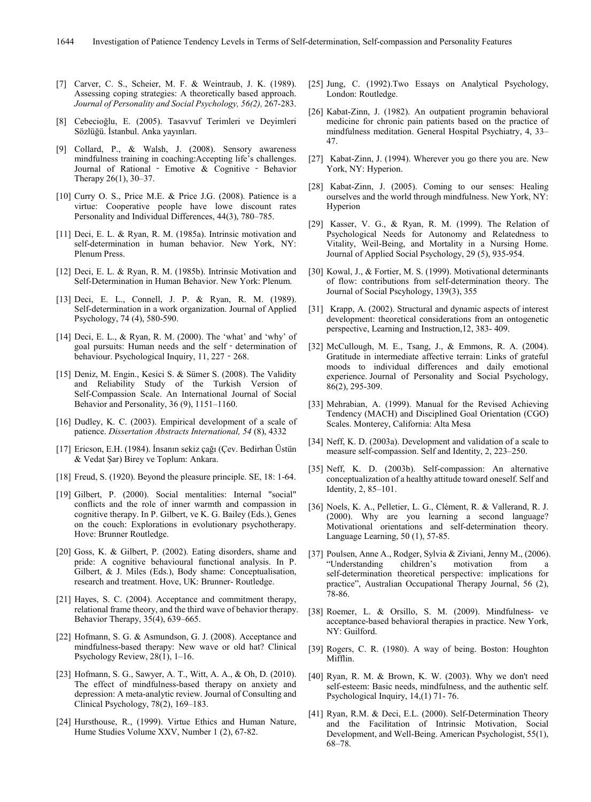- [7] Carver, C. S., Scheier, M. F. & Weintraub, J. K. (1989). Assessing coping strategies: A theoretically based approach. *Journal of Personality and Social Psychology, 56(2),* 267-283.
- [8] Cebecioğlu, E. (2005). Tasavvuf Terimleri ve Deyimleri Sözlüğü. İstanbul. Anka yayınları.
- [9] Collard, P., & Walsh, J. (2008). Sensory awareness mindfulness training in coaching:Accepting life's challenges. Journal of Rational ‐ Emotive & Cognitive ‐ Behavior Therapy 26(1), 30–37.
- [10] Curry O. S., Price M.E. & Price J.G. (2008). Patience is a virtue: Cooperative people have lowe discount rates Personality and Individual Differences, 44(3), 780–785.
- [11] Deci, E. L. & Ryan, R. M. (1985a). Intrinsic motivation and self-determination in human behavior. New York, NY: Plenum Press.
- [12] Deci, E. L. & Ryan, R. M. (1985b). Intrinsic Motivation and Self-Determination in Human Behavior. New York: Plenum.
- [13] Deci, E. L., Connell, J. P. & Ryan, R. M. (1989). Self-determination in a work organization. Journal of Applied Psychology, 74 (4), 580-590.
- [14] Deci, E. L., & Ryan, R. M. (2000). The 'what' and 'why' of goal pursuits: Human needs and the self‐determination of behaviour. Psychological Inquiry, 11, 227 - 268.
- [15] Deniz, M. Engin., Kesici S. & Sümer S. (2008). The Validity and Reliability Study of the Turkish Version of Self-Compassion Scale. An International Journal of Social Behavior and Personality, 36 (9), 1151–1160.
- [16] Dudley, K. C. (2003). Empirical development of a scale of patience. *Dissertation Abstracts International, 54* (8), 4332
- [17] Ericson, E.H. (1984). İnsanın sekiz çağı (Çev. Bedirhan Üstün & Vedat Şar) Birey ve Toplum: Ankara.
- [18] Freud, S. (1920). Beyond the pleasure principle. SE, 18: 1-64.
- [19] Gilbert, P. (2000). Social mentalities: Internal "social" conflicts and the role of inner warmth and compassion in cognitive therapy. In P. Gilbert, ve K. G. Bailey (Eds.), Genes on the couch: Explorations in evolutionary psychotherapy. Hove: Brunner Routledge.
- [20] Goss, K. & Gilbert, P. (2002). Eating disorders, shame and pride: A cognitive behavioural functional analysis. In P. Gilbert, & J. Miles (Eds.), Body shame: Conceptualisation, research and treatment. Hove, UK: Brunner- Routledge.
- [21] Hayes, S. C. (2004). Acceptance and commitment therapy, relational frame theory, and the third wave of behavior therapy. Behavior Therapy, 35(4), 639–665.
- [22] Hofmann, S. G. & Asmundson, G. J. (2008). Acceptance and mindfulness-based therapy: New wave or old hat? Clinical Psychology Review, 28(1), 1–16.
- [23] Hofmann, S. G., Sawyer, A. T., Witt, A. A., & Oh, D. (2010). The effect of mindfulness-based therapy on anxiety and depression: A meta-analytic review. Journal of Consulting and Clinical Psychology, 78(2), 169–183.
- [24] Hursthouse, R., (1999). Virtue Ethics and Human Nature, Hume Studies Volume XXV, Number 1 (2), 67-82.
- [25] Jung, C. (1992). Two Essays on Analytical Psychology, London: Routledge.
- [26] Kabat-Zinn, J. (1982). An outpatient programin behavioral medicine for chronic pain patients based on the practice of mindfulness meditation. General Hospital Psychiatry, 4, 33– 47.
- [27] Kabat-Zinn, J. (1994). Wherever you go there you are. New York, NY: Hyperion.
- [28] Kabat-Zinn, J. (2005). Coming to our senses: Healing ourselves and the world through mindfulness. New York, NY: Hyperion
- [29] Kasser, V. G., & Ryan, R. M. (1999). The Relation of Psychological Needs for Autonomy and Relatedness to Vitality, Weil-Being, and Mortality in a Nursing Home. Journal of Applied Social Psychology, 29 (5), 935-954.
- [30] Kowal, J., & Fortier, M. S. (1999). Motivational determinants of flow: contributions from self-determination theory. The Journal of Social Pscyhology, 139(3), 355
- [31] Krapp, A. (2002). Structural and dynamic aspects of interest development: theoretical considerations from an ontogenetic perspective, Learning and Instruction,12, 383- 409.
- [32] McCullough, M. E., Tsang, J., & Emmons, R. A. (2004). Gratitude in intermediate affective terrain: Links of grateful moods to individual differences and daily emotional experience. Journal of Personality and Social Psychology, 86(2), 295-309.
- [33] Mehrabian, A. (1999). Manual for the Revised Achieving Tendency (MACH) and Disciplined Goal Orientation (CGO) Scales. Monterey, California: Alta Mesa
- [34] Neff, K. D. (2003a). Development and validation of a scale to measure self-compassion. Self and Identity, 2, 223–250.
- [35] Neff, K. D. (2003b). Self-compassion: An alternative conceptualization of a healthy attitude toward oneself. Self and Identity, 2, 85–101.
- [36] Noels, K. A., Pelletier, L. G., Clément, R. & Vallerand, R. J. (2000). Why are you learning a second language? Motivational orientations and self-determination theory. Language Learning, 50 (1), 57-85.
- [37] Poulsen, Anne A., Rodger, Sylvia & Ziviani, Jenny M., (2006). "Understanding children's motivation from a self-determination theoretical perspective: implications for practice", Australian Occupational Therapy Journal, 56 (2), 78-86.
- [38] Roemer, L. & Orsillo, S. M. (2009). Mindfulness- ve acceptance-based behavioral therapies in practice. New York, NY: Guilford.
- [39] Rogers, C. R. (1980). A way of being. Boston: Houghton Mifflin.
- [40] Ryan, R. M. & Brown, K. W. (2003). Why we don't need self-esteem: Basic needs, mindfulness, and the authentic self. Psychological Inquiry, 14,(1) 71- 76.
- [41] Ryan, R.M. & Deci, E.L. (2000). Self-Determination Theory and the Facilitation of Intrinsic Motivation, Social Development, and Well-Being. American Psychologist, 55(1), 68–78.